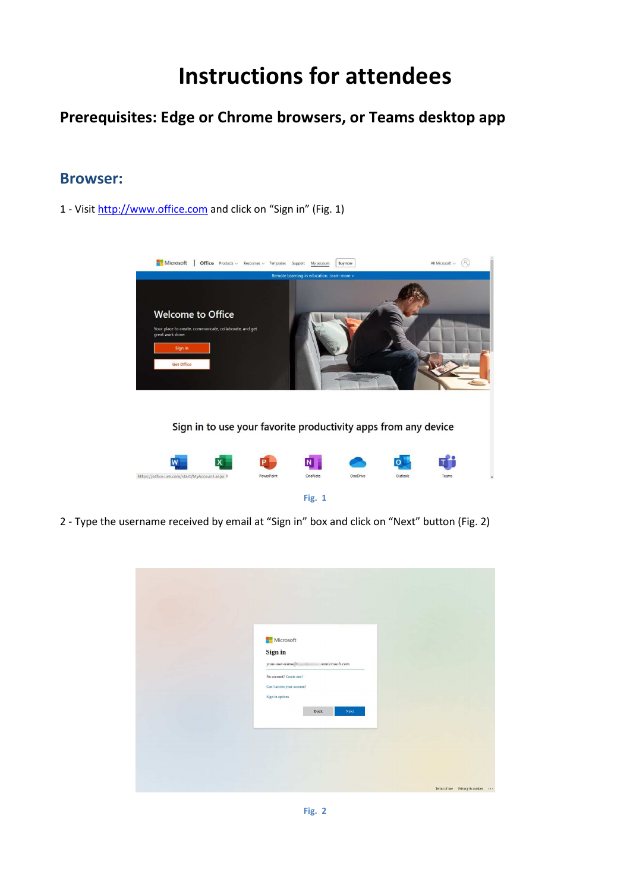# **Instructions for attendees**

## **Prerequisites: Edge or Chrome browsers, or Teams desktop app**

#### **Browser:**

1 - Visit http://www.office.com and click on "Sign in" (Fig. 1)



2 - Type the username received by email at "Sign in" box and click on "Next" button (Fig. 2)

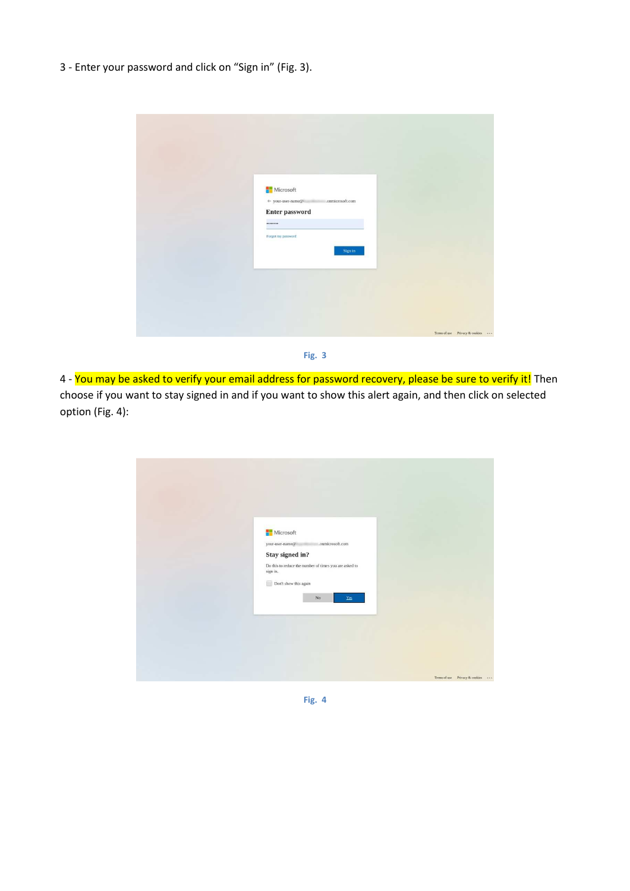3 - Enter your password and click on "Sign in" (Fig. 3).

| Microsoft<br>.onmicrosoft.com<br>$\leftarrow$ your-user-name@<br><b>Enter password</b><br><br>Forgot my password<br>Sign in |                                |
|-----------------------------------------------------------------------------------------------------------------------------|--------------------------------|
|                                                                                                                             | Terms of use Privacy & cookies |



4 - You may be asked to verify your email address for password recovery, please be sure to verify it! Then choose if you want to stay signed in and if you want to show this alert again, and then click on selected option (Fig. 4):

| Microsoft<br>your-user-name@<br>Stay signed in?<br>Do this to reduce the number of times you are asked to<br>sign in.<br>Don't show this again<br>$\rm No$ | .onmicrosoft.com<br>Yes        |
|------------------------------------------------------------------------------------------------------------------------------------------------------------|--------------------------------|
|                                                                                                                                                            | Terms of use Privacy & cookies |

**Fig. 4**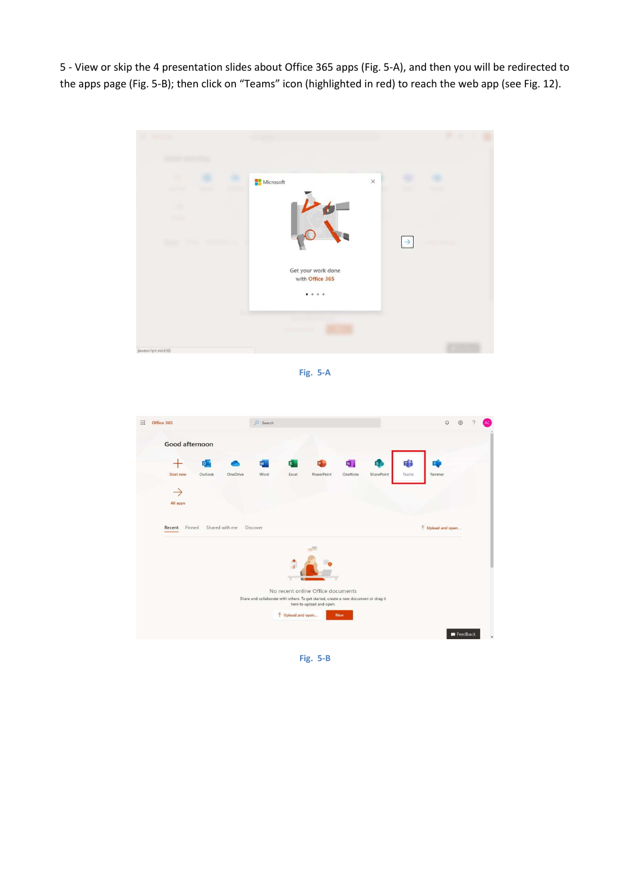5 - View or skip the 4 presentation slides about Office 365 apps (Fig. 5-A), and then you will be redirected to the apps page (Fig. 5-B); then click on "Teams" icon (highlighted in red) to reach the web app (see Fig. 12).



**Fig. 5-A** 



**Fig. 5-B**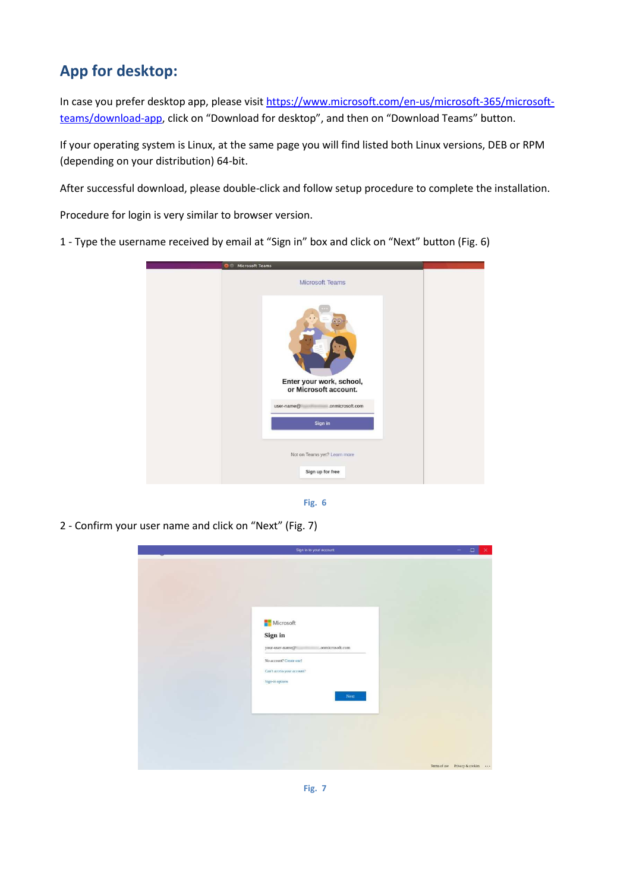# **App for desktop:**

In case you prefer desktop app, please visit https://www.microsoft.com/en-us/microsoft-365/microsoftteams/download-app, click on "Download for desktop", and then on "Download Teams" button.

If your operating system is Linux, at the same page you will find listed both Linux versions, DEB or RPM (depending on your distribution) 64-bit.

After successful download, please double-click and follow setup procedure to complete the installation.

Procedure for login is very similar to browser version.

1 - Type the username received by email at "Sign in" box and click on "Next" button (Fig. 6)





2 - Confirm your user name and click on "Next" (Fig. 7)

| Sign in to your account                                                                                                                         |                                | $\Box$<br>- | × |
|-------------------------------------------------------------------------------------------------------------------------------------------------|--------------------------------|-------------|---|
| Microsoft<br>Sign in<br>.onmicrosoft.com<br>your-user-name@<br>No account? Create one!<br>Can't access your account?<br>Sign-in options<br>Next |                                |             |   |
|                                                                                                                                                 | Terms of use Privacy & cookies |             |   |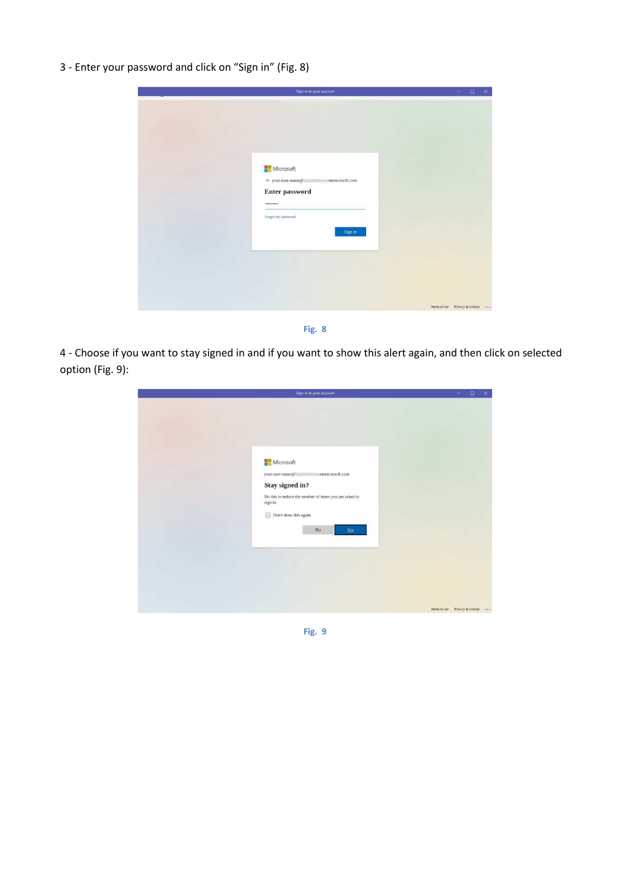3 - Enter your password and click on "Sign in" (Fig. 8)

| Sign in to your account                                                                                                     | $\Box$<br>×<br>-               |
|-----------------------------------------------------------------------------------------------------------------------------|--------------------------------|
| Microsoft<br>$\leftarrow$ your-user-name@<br>.onmicrosoft.com<br><b>Enter password</b><br><br>Forgot my password<br>Sign in |                                |
|                                                                                                                             | Terms of use Privacy & cookies |



4 - Choose if you want to stay signed in and if you want to show this alert again, and then click on selected option (Fig. 9):

| Microsoft<br>conmicrosoft.com<br>your-user-name@<br>Stay signed in?<br>Do this to reduce the number of times you are asked to<br>sign in.<br>Don't show this again<br>$_{\rm No}$<br>$\underline{\mathbf{Yes}}$ |
|-----------------------------------------------------------------------------------------------------------------------------------------------------------------------------------------------------------------|
|                                                                                                                                                                                                                 |

**Fig. 9**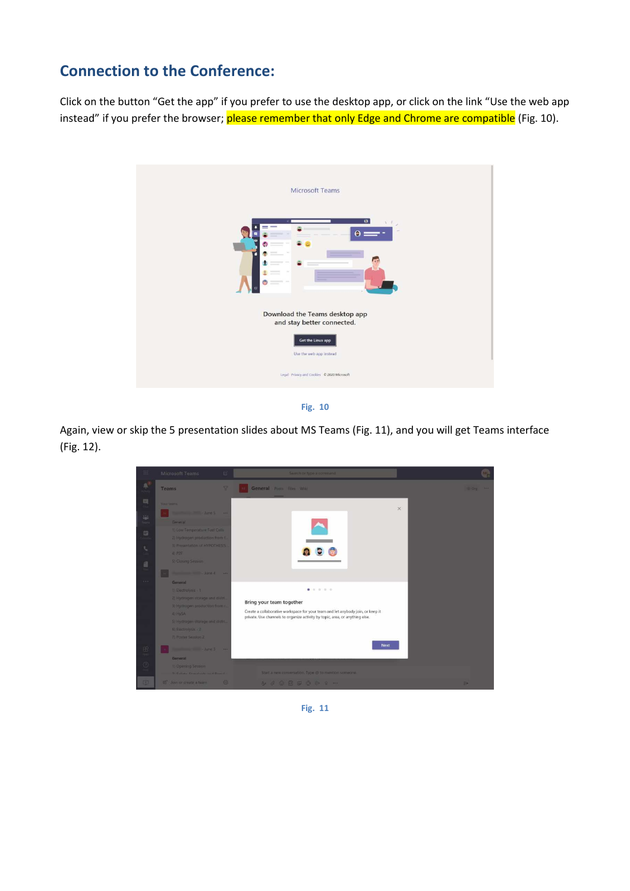## **Connection to the Conference:**

Click on the button "Get the app" if you prefer to use the desktop app, or click on the link "Use the web app instead" if you prefer the browser; please remember that only Edge and Chrome are compatible (Fig. 10).



**Fig. 10** 

Again, view or skip the 5 presentation slides about MS Teams (Fig. 11), and you will get Teams interface (Fig. 12).



**Fig. 11**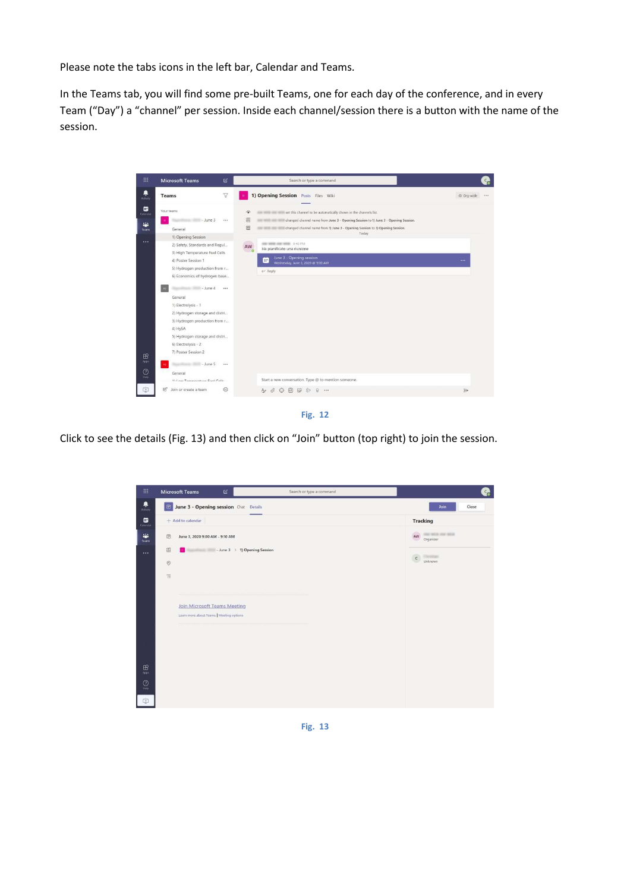Please note the tabs icons in the left bar, Calendar and Teams.

In the Teams tab, you will find some pre-built Teams, one for each day of the conference, and in every Team ("Day") a "channel" per session. Inside each channel/session there is a button with the name of the session.

| 排                                           | $\mathbb{Z}$<br><b>Microsoft Teams</b>                                                                                                                                                                                                                                                                                                                                                                                                     | Search or type a command                                                                                                                                                                                                                                          | $c_n$            |
|---------------------------------------------|--------------------------------------------------------------------------------------------------------------------------------------------------------------------------------------------------------------------------------------------------------------------------------------------------------------------------------------------------------------------------------------------------------------------------------------------|-------------------------------------------------------------------------------------------------------------------------------------------------------------------------------------------------------------------------------------------------------------------|------------------|
| 阜<br>Activity                               | $\triangledown$<br><b>Teams</b>                                                                                                                                                                                                                                                                                                                                                                                                            | 1) Opening Session Posts Files Wiki                                                                                                                                                                                                                               | ® Org-wide<br>   |
| ₿<br>Cateridar<br>a.<br>Teams               | Your teams<br>$-lune 3$<br>$\cdots$<br>General                                                                                                                                                                                                                                                                                                                                                                                             | seasons and seasons to be automatically shown in the channels list.<br>合<br>泗<br>changed channel name from June 3 - Opening Session to 1) June 3 - Opening Session.<br>园<br>changed channel name from 1) June 3 - Opening Session to 1) Opening Session.<br>Today |                  |
| $\cdots$<br>$\mathbf{B}$<br>Apps<br>$\odot$ | 1) Opening Session<br>2) Safety, Standards and Regul<br>3) High Temperature Fuel Cells<br>4) Poster Session 1<br>5) Hydrogen production from r<br>6) Economics of hydrogen base<br>$-$ June 4<br>1.14<br>General<br>1) Electrolysis - 1<br>2) Hydrogen storage and distri<br>3) Hydrogen production from r<br>4) HySA<br>5) Hydrogen storage and distri<br>6) Electrolysis - 2<br>7) Poster Session 2<br>$-$ June 5<br>$\cdots$<br>General | <b>SAN WERE SAN WERE 2:40 PM</b><br>AW<br>Ha pianificato una riunione<br>June 3 - Opening session<br>W.<br>Wednesday, June 3, 2020 @ 9.00 AM<br>$\leftarrow$ Reply                                                                                                |                  |
| Halp<br>۲ŧ٦                                 | 1) Louis Tommorntsson Cual Colle-<br>铭<br>Join or create a team<br>£03                                                                                                                                                                                                                                                                                                                                                                     | Start a new conversation. Type @ to mention someone.<br>9<br>$A_{\ell}$<br>O,<br>$[$ cir]<br>$\cdots$<br>$\left(\cdots\right)$<br>l Cal<br>$\rightarrow$                                                                                                          | $\triangleright$ |

**Fig. 12** 

Click to see the details (Fig. 13) and then click on "Join" button (top right) to join the session.



**Fig. 13**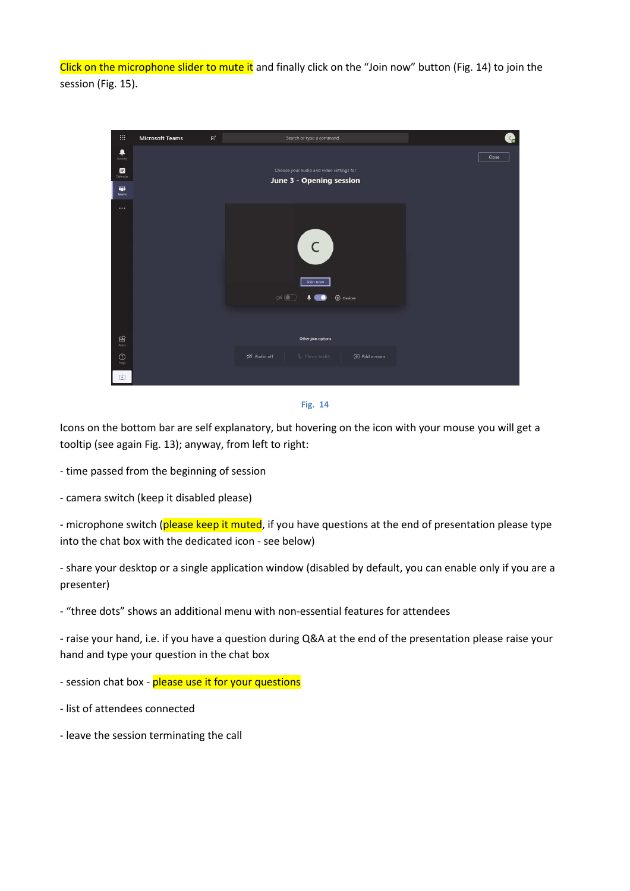Click on the microphone slider to mute it and finally click on the "Join now" button (Fig. 14) to join the session (Fig. 15).

| 田                        | <b>Microsoft Teams</b> | $\ensuremath{\mathcal{C}}$ | Search or type a command                                                            | $c_{\rm c}$ |
|--------------------------|------------------------|----------------------------|-------------------------------------------------------------------------------------|-------------|
| ٠<br>Activity            |                        |                            |                                                                                     | Close       |
| ▩<br>Calendar            |                        |                            | Choose your audio and video settings for                                            |             |
| ŵ<br>Teams               |                        |                            | June 3 - Opening session                                                            |             |
| $\cdots$                 |                        |                            | $\overline{C}$<br>Join now<br>$\mathbb{Z}$<br>$\cdot$ $\bullet$<br><b>Q</b> Devices |             |
|                          |                        |                            |                                                                                     |             |
| $\boxplus$<br>Apps       |                        |                            | Other join options                                                                  |             |
| $\bigodot_{\text{Heip}}$ |                        |                            | Số Audio off<br><sup>0</sup> <sub>c</sub> Phone audio<br>图 Add a room               |             |
| 中                        |                        |                            |                                                                                     |             |



Icons on the bottom bar are self explanatory, but hovering on the icon with your mouse you will get a tooltip (see again Fig. 13); anyway, from left to right:

- time passed from the beginning of session

- camera switch (keep it disabled please)

- microphone switch (please keep it muted, if you have questions at the end of presentation please type into the chat box with the dedicated icon - see below)

- share your desktop or a single application window (disabled by default, you can enable only if you are a presenter)

- "three dots" shows an additional menu with non-essential features for attendees

- raise your hand, i.e. if you have a question during Q&A at the end of the presentation please raise your hand and type your question in the chat box

- session chat box - please use it for your questions

- list of attendees connected
- leave the session terminating the call